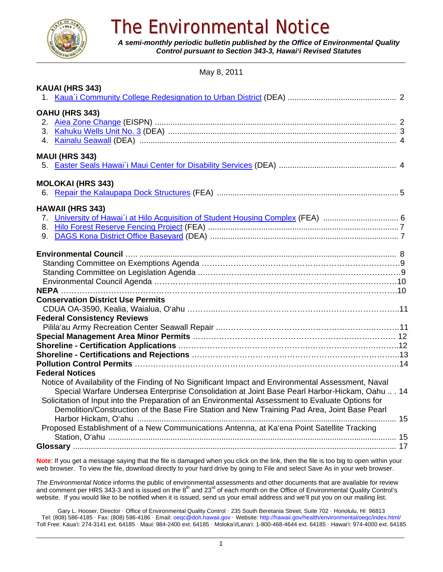

# The Environmental Notice

*A semi-monthly periodic bulletin published by the Office of Environmental Quality Control pursuant to Section 343-3, Hawai'i Revised Statutes*

May 8, 2011

| KAUAI (HRS 343)                                                                                    |  |
|----------------------------------------------------------------------------------------------------|--|
|                                                                                                    |  |
| OAHU (HRS 343)                                                                                     |  |
|                                                                                                    |  |
|                                                                                                    |  |
|                                                                                                    |  |
| <b>MAUI (HRS 343)</b>                                                                              |  |
|                                                                                                    |  |
| <b>MOLOKAI (HRS 343)</b>                                                                           |  |
| 6.                                                                                                 |  |
| <b>HAWAII (HRS 343)</b>                                                                            |  |
|                                                                                                    |  |
|                                                                                                    |  |
| 9.                                                                                                 |  |
|                                                                                                    |  |
|                                                                                                    |  |
|                                                                                                    |  |
|                                                                                                    |  |
|                                                                                                    |  |
| <b>Conservation District Use Permits</b>                                                           |  |
|                                                                                                    |  |
| <b>Federal Consistency Reviews</b>                                                                 |  |
|                                                                                                    |  |
|                                                                                                    |  |
|                                                                                                    |  |
|                                                                                                    |  |
| <b>Federal Notices</b>                                                                             |  |
| Notice of Availability of the Finding of No Significant Impact and Environmental Assessment, Naval |  |
| Special Warfare Undersea Enterprise Consolidation at Joint Base Pearl Harbor-Hickam, Oahu  . 14    |  |
| Solicitation of Input into the Preparation of an Environmental Assessment to Evaluate Options for  |  |
| Demolition/Construction of the Base Fire Station and New Training Pad Area, Joint Base Pearl       |  |
|                                                                                                    |  |
| Proposed Establishment of a New Communications Antenna, at Ka'ena Point Satellite Tracking         |  |
|                                                                                                    |  |
|                                                                                                    |  |
|                                                                                                    |  |

**Note**: If you get a message saying that the file is damaged when you click on the link, then the file is too big to open within your web browser. To view the file, download directly to your hard drive by going to File and select Save As in your web browser.

*The Environmental Notice* informs the public of environmental assessments and other documents that are available for review and comment per HRS 343-3 and is issued on the  $8<sup>th</sup>$  and 23<sup>rd</sup> of each month on the Office of Environmental Quality Control's website. If you would like to be notified when it is issued, send us your email address and we'll put you on our mailing list.

Gary L. Hooser, Director · Office of Environmental Quality Control · 235 South Beretania Street, Suite 702 · Honolulu, HI 96813 Tel: (808) 586-4185 · Fax: (808) 586-4186 · Email: oeqc@doh.hawaii.gov · Website: http://hawaii.gov/health/environmental/oeqc/index.html/ Toll Free: Kaua'i: 274-3141 ext. 64185 · Maui: 984-2400 ext. 64185 · Moloka'i/Lana'i: 1-800-468-4644 ext. 64185 · Hawai'i: 974-4000 ext. 64185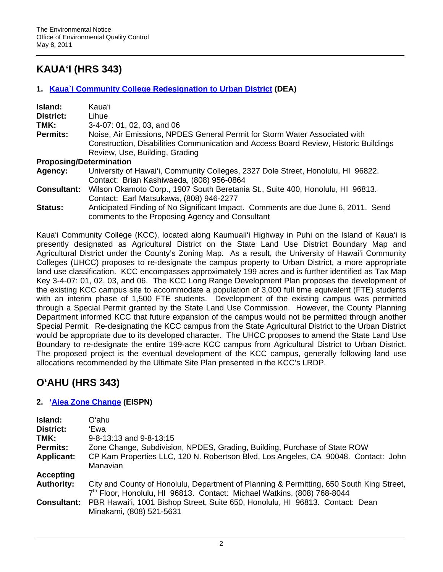## **KAUA'I (HRS 343)**

## **1. Kaua`i Community College Redesignation to Urban District (DEA)**

| Island:            | Kauaʻi                                                                                                                                                             |  |
|--------------------|--------------------------------------------------------------------------------------------------------------------------------------------------------------------|--|
| <b>District:</b>   | Lihue                                                                                                                                                              |  |
| TMK:               | 3-4-07: 01, 02, 03, and 06                                                                                                                                         |  |
| <b>Permits:</b>    | Noise, Air Emissions, NPDES General Permit for Storm Water Associated with<br>Construction, Disabilities Communication and Access Board Review, Historic Buildings |  |
|                    | Review, Use, Building, Grading                                                                                                                                     |  |
|                    | <b>Proposing/Determination</b>                                                                                                                                     |  |
| <b>Agency:</b>     | University of Hawai'i, Community Colleges, 2327 Dole Street, Honolulu, HI 96822.<br>Contact: Brian Kashiwaeda, (808) 956-0864                                      |  |
| <b>Consultant:</b> | Wilson Okamoto Corp., 1907 South Beretania St., Suite 400, Honolulu, HI 96813.<br>Contact: Earl Matsukawa, (808) 946-2277                                          |  |
| Status:            | Anticipated Finding of No Significant Impact. Comments are due June 6, 2011. Send<br>comments to the Proposing Agency and Consultant                               |  |

Kaua'i Community College (KCC), located along Kaumuali'i Highway in Puhi on the Island of Kaua'i is presently designated as Agricultural District on the State Land Use District Boundary Map and Agricultural District under the County's Zoning Map. As a result, the University of Hawai'i Community Colleges (UHCC) proposes to re-designate the campus property to Urban District, a more appropriate land use classification. KCC encompasses approximately 199 acres and is further identified as Tax Map Key 3-4-07: 01, 02, 03, and 06. The KCC Long Range Development Plan proposes the development of the existing KCC campus site to accommodate a population of 3,000 full time equivalent (FTE) students with an interim phase of 1,500 FTE students. Development of the existing campus was permitted through a Special Permit granted by the State Land Use Commission. However, the County Planning Department informed KCC that future expansion of the campus would not be permitted through another Special Permit. Re-designating the KCC campus from the State Agricultural District to the Urban District would be appropriate due to its developed character. The UHCC proposes to amend the State Land Use Boundary to re-designate the entire 199-acre KCC campus from Agricultural District to Urban District. The proposed project is the eventual development of the KCC campus, generally following land use allocations recommended by the Ultimate Site Plan presented in the KCC's LRDP.

## **O'AHU (HRS 343)**

## **2. 'Aiea Zone Change (EISPN)**

| Island:<br><b>District:</b><br>TMK:<br><b>Permits:</b><br><b>Applicant:</b> | Oʻahu<br>'Ewal<br>$9 - 8 - 13:13$ and $9 - 8 - 13:15$<br>Zone Change, Subdivision, NPDES, Grading, Building, Purchase of State ROW<br>CP Kam Properties LLC, 120 N. Robertson Blvd, Los Angeles, CA 90048. Contact: John |
|-----------------------------------------------------------------------------|--------------------------------------------------------------------------------------------------------------------------------------------------------------------------------------------------------------------------|
|                                                                             | Manavian                                                                                                                                                                                                                 |
| <b>Accepting</b>                                                            |                                                                                                                                                                                                                          |
| <b>Authority:</b>                                                           | City and County of Honolulu, Department of Planning & Permitting, 650 South King Street,<br>7 <sup>th</sup> Floor, Honolulu, HI 96813. Contact: Michael Watkins, (808) 768-8044                                          |
| <b>Consultant:</b>                                                          | PBR Hawai'i, 1001 Bishop Street, Suite 650, Honolulu, HI 96813. Contact: Dean<br>Minakami, (808) 521-5631                                                                                                                |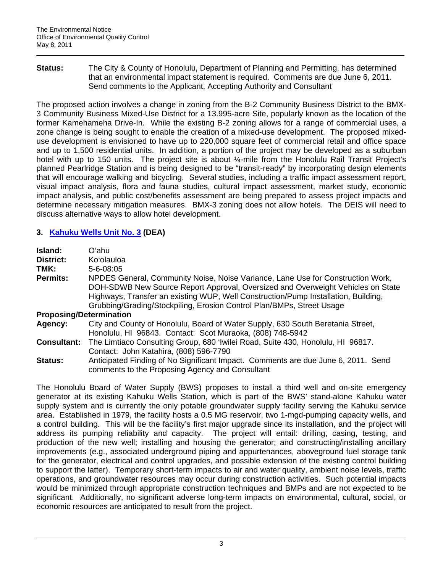**Status:** The City & County of Honolulu, Department of Planning and Permitting, has determined that an environmental impact statement is required. Comments are due June 6, 2011. Send comments to the Applicant, Accepting Authority and Consultant

The proposed action involves a change in zoning from the B-2 Community Business District to the BMX-3 Community Business Mixed-Use District for a 13.995-acre Site, popularly known as the location of the former Kamehameha Drive-In. While the existing B-2 zoning allows for a range of commercial uses, a zone change is being sought to enable the creation of a mixed-use development. The proposed mixeduse development is envisioned to have up to 220,000 square feet of commercial retail and office space and up to 1,500 residential units. In addition, a portion of the project may be developed as a suburban hotel with up to 150 units. The project site is about  $\frac{1}{4}$ -mile from the Honolulu Rail Transit Project's planned Pearlridge Station and is being designed to be "transit-ready" by incorporating design elements that will encourage walking and bicycling. Several studies, including a traffic impact assessment report, visual impact analysis, flora and fauna studies, cultural impact assessment, market study, economic impact analysis, and public cost/benefits assessment are being prepared to assess project impacts and determine necessary mitigation measures. BMX-3 zoning does not allow hotels. The DEIS will need to discuss alternative ways to allow hotel development.

## **3. Kahuku Wells Unit No. 3 (DEA)**

| Island:                        | Oʻahu                                                                              |  |
|--------------------------------|------------------------------------------------------------------------------------|--|
| <b>District:</b>               | Ko'olauloa                                                                         |  |
| TMK:                           | $5 - 6 - 08:05$                                                                    |  |
| <b>Permits:</b>                | NPDES General, Community Noise, Noise Variance, Lane Use for Construction Work,    |  |
|                                | DOH-SDWB New Source Report Approval, Oversized and Overweight Vehicles on State    |  |
|                                | Highways, Transfer an existing WUP, Well Construction/Pump Installation, Building, |  |
|                                | Grubbing/Grading/Stockpiling, Erosion Control Plan/BMPs, Street Usage              |  |
| <b>Proposing/Determination</b> |                                                                                    |  |
| Agency:                        | City and County of Honolulu, Board of Water Supply, 630 South Beretania Street,    |  |
|                                | Honolulu, HI 96843. Contact: Scot Muraoka, (808) 748-5942                          |  |
| <b>Consultant:</b>             | The Limtiaco Consulting Group, 680 'Iwilei Road, Suite 430, Honolulu, HI 96817.    |  |
|                                | Contact: John Katahira, (808) 596-7790                                             |  |
| <b>Status:</b>                 | Anticipated Finding of No Significant Impact. Comments are due June 6, 2011. Send  |  |

comments to the Proposing Agency and Consultant

The Honolulu Board of Water Supply (BWS) proposes to install a third well and on-site emergency generator at its existing Kahuku Wells Station, which is part of the BWS' stand-alone Kahuku water supply system and is currently the only potable groundwater supply facility serving the Kahuku service area. Established in 1979, the facility hosts a 0.5 MG reservoir, two 1-mgd-pumping capacity wells, and a control building. This will be the facility's first major upgrade since its installation, and the project will address its pumping reliability and capacity. The project will entail: drilling, casing, testing, and production of the new well; installing and housing the generator; and constructing/installing ancillary improvements (e.g., associated underground piping and appurtenances, aboveground fuel storage tank for the generator, electrical and control upgrades, and possible extension of the existing control building to support the latter). Temporary short-term impacts to air and water quality, ambient noise levels, traffic operations, and groundwater resources may occur during construction activities. Such potential impacts would be minimized through appropriate construction techniques and BMPs and are not expected to be significant. Additionally, no significant adverse long-term impacts on environmental, cultural, social, or economic resources are anticipated to result from the project.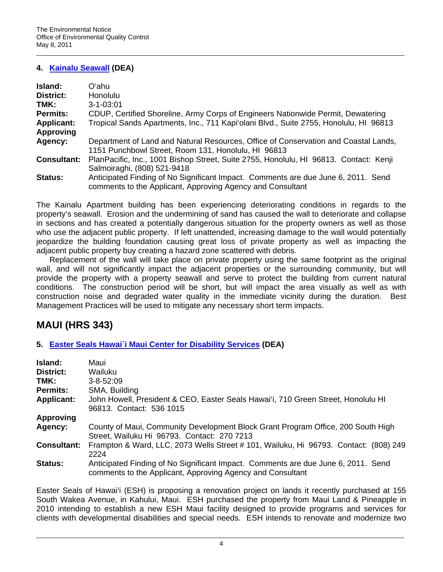## **4. Kainalu Seawall (DEA)**

| Island:            | Oʻahu.                                                                                                                                          |  |
|--------------------|-------------------------------------------------------------------------------------------------------------------------------------------------|--|
| District:          | <b>Honolulu</b>                                                                                                                                 |  |
| TMK:               | $3 - 1 - 03:01$                                                                                                                                 |  |
| <b>Permits:</b>    | CDUP, Certified Shoreline, Army Corps of Engineers Nationwide Permit, Dewatering                                                                |  |
| <b>Applicant:</b>  | Tropical Sands Apartments, Inc., 711 Kapi'olani Blvd., Suite 2755, Honolulu, HI 96813                                                           |  |
| <b>Approving</b>   |                                                                                                                                                 |  |
| Agency:            | Department of Land and Natural Resources, Office of Conservation and Coastal Lands,<br>1151 Punchbowl Street, Room 131, Honolulu, HI 96813      |  |
| <b>Consultant:</b> | PlanPacific, Inc., 1001 Bishop Street, Suite 2755, Honolulu, HI 96813. Contact: Kenji<br>Salmoiraghi, (808) 521-9418                            |  |
| Status:            | Anticipated Finding of No Significant Impact. Comments are due June 6, 2011. Send<br>comments to the Applicant, Approving Agency and Consultant |  |

The Kainalu Apartment building has been experiencing deteriorating conditions in regards to the property's seawall. Erosion and the undermining of sand has caused the wall to deteriorate and collapse in sections and has created a potentially dangerous situation for the property owners as well as those who use the adjacent public property. If left unattended, increasing damage to the wall would potentially jeopardize the building foundation causing great loss of private property as well as impacting the adjacent public property buy creating a hazard zone scattered with debris.

Replacement of the wall will take place on private property using the same footprint as the original wall, and will not significantly impact the adjacent properties or the surrounding community, but will provide the property with a property seawall and serve to protect the building from current natural conditions. The construction period will be short, but will impact the area visually as well as with construction noise and degraded water quality in the immediate vicinity during the duration. Best Management Practices will be used to mitigate any necessary short term impacts.

## **MAUI (HRS 343)**

**5. Easter Seals Hawai`i Maui Center for Disability Services (DEA)** 

| Island:            | Maui                                                                                                                                            |  |
|--------------------|-------------------------------------------------------------------------------------------------------------------------------------------------|--|
| <b>District:</b>   | Wailuku                                                                                                                                         |  |
| TMK:               | $3 - 8 - 52:09$                                                                                                                                 |  |
| <b>Permits:</b>    | SMA, Building                                                                                                                                   |  |
| <b>Applicant:</b>  | John Howell, President & CEO, Easter Seals Hawai'i, 710 Green Street, Honolulu HI<br>96813. Contact: 536 1015                                   |  |
| <b>Approving</b>   |                                                                                                                                                 |  |
| Agency:            | County of Maui, Community Development Block Grant Program Office, 200 South High<br>Street, Wailuku Hi 96793. Contact: 270 7213                 |  |
| <b>Consultant:</b> | Frampton & Ward, LLC, 2073 Wells Street # 101, Wailuku, Hi 96793. Contact: (808) 249<br>2224                                                    |  |
| Status:            | Anticipated Finding of No Significant Impact. Comments are due June 6, 2011. Send<br>comments to the Applicant, Approving Agency and Consultant |  |

Easter Seals of Hawai'i (ESH) is proposing a renovation project on lands it recently purchased at 155 South Wakea Avenue, in Kahului, Maui. ESH purchased the property from Maui Land & Pineapple in 2010 intending to establish a new ESH Maui facility designed to provide programs and services for clients with developmental disabilities and special needs. ESH intends to renovate and modernize two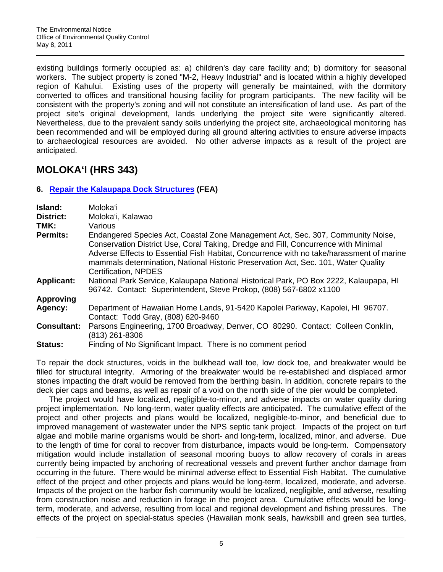existing buildings formerly occupied as: a) children's day care facility and; b) dormitory for seasonal workers. The subject property is zoned "M-2, Heavy Industrial" and is located within a highly developed region of Kahului. Existing uses of the property will generally be maintained, with the dormitory converted to offices and transitional housing facility for program participants. The new facility will be consistent with the property's zoning and will not constitute an intensification of land use. As part of the project site's original development, lands underlying the project site were significantly altered. Nevertheless, due to the prevalent sandy soils underlying the project site, archaeological monitoring has been recommended and will be employed during all ground altering activities to ensure adverse impacts to archaeological resources are avoided. No other adverse impacts as a result of the project are anticipated.

## **MOLOKA'I (HRS 343)**

## **6. Repair the Kalaupapa Dock Structures (FEA)**

| Island:            | Molokaʻi                                                                                                                                                                                                                                                                                                                                                                        |
|--------------------|---------------------------------------------------------------------------------------------------------------------------------------------------------------------------------------------------------------------------------------------------------------------------------------------------------------------------------------------------------------------------------|
| District:          | Moloka'i, Kalawao                                                                                                                                                                                                                                                                                                                                                               |
| TMK:               | Various                                                                                                                                                                                                                                                                                                                                                                         |
| <b>Permits:</b>    | Endangered Species Act, Coastal Zone Management Act, Sec. 307, Community Noise,<br>Conservation District Use, Coral Taking, Dredge and Fill, Concurrence with Minimal<br>Adverse Effects to Essential Fish Habitat, Concurrence with no take/harassment of marine<br>mammals determination, National Historic Preservation Act, Sec. 101, Water Quality<br>Certification, NPDES |
| <b>Applicant:</b>  | National Park Service, Kalaupapa National Historical Park, PO Box 2222, Kalaupapa, HI<br>96742. Contact: Superintendent, Steve Prokop, (808) 567-6802 x1100                                                                                                                                                                                                                     |
| <b>Approving</b>   |                                                                                                                                                                                                                                                                                                                                                                                 |
| Agency:            | Department of Hawaiian Home Lands, 91-5420 Kapolei Parkway, Kapolei, HI 96707.<br>Contact: Todd Gray, (808) 620-9460                                                                                                                                                                                                                                                            |
| <b>Consultant:</b> | Parsons Engineering, 1700 Broadway, Denver, CO 80290. Contact: Colleen Conklin,<br>(813) 261-8306                                                                                                                                                                                                                                                                               |
| <b>Status:</b>     | Finding of No Significant Impact. There is no comment period                                                                                                                                                                                                                                                                                                                    |

To repair the dock structures, voids in the bulkhead wall toe, low dock toe, and breakwater would be filled for structural integrity. Armoring of the breakwater would be re-established and displaced armor stones impacting the draft would be removed from the berthing basin. In addition, concrete repairs to the deck pier caps and beams, as well as repair of a void on the north side of the pier would be completed.

The project would have localized, negligible-to-minor, and adverse impacts on water quality during project implementation. No long-term, water quality effects are anticipated. The cumulative effect of the project and other projects and plans would be localized, negligible-to-minor, and beneficial due to improved management of wastewater under the NPS septic tank project. Impacts of the project on turf algae and mobile marine organisms would be short- and long-term, localized, minor, and adverse. Due to the length of time for coral to recover from disturbance, impacts would be long-term. Compensatory mitigation would include installation of seasonal mooring buoys to allow recovery of corals in areas currently being impacted by anchoring of recreational vessels and prevent further anchor damage from occurring in the future. There would be minimal adverse effect to Essential Fish Habitat. The cumulative effect of the project and other projects and plans would be long-term, localized, moderate, and adverse. Impacts of the project on the harbor fish community would be localized, negligible, and adverse, resulting from construction noise and reduction in forage in the project area. Cumulative effects would be longterm, moderate, and adverse, resulting from local and regional development and fishing pressures. The effects of the project on special-status species (Hawaiian monk seals, hawksbill and green sea turtles,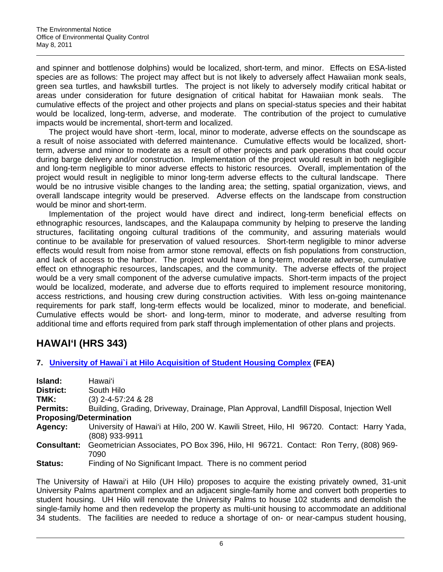and spinner and bottlenose dolphins) would be localized, short-term, and minor. Effects on ESA-listed species are as follows: The project may affect but is not likely to adversely affect Hawaiian monk seals, green sea turtles, and hawksbill turtles. The project is not likely to adversely modify critical habitat or areas under consideration for future designation of critical habitat for Hawaiian monk seals. The cumulative effects of the project and other projects and plans on special-status species and their habitat would be localized, long-term, adverse, and moderate. The contribution of the project to cumulative impacts would be incremental, short-term and localized.

The project would have short -term, local, minor to moderate, adverse effects on the soundscape as a result of noise associated with deferred maintenance. Cumulative effects would be localized, shortterm, adverse and minor to moderate as a result of other projects and park operations that could occur during barge delivery and/or construction. Implementation of the project would result in both negligible and long-term negligible to minor adverse effects to historic resources. Overall, implementation of the project would result in negligible to minor long-term adverse effects to the cultural landscape. There would be no intrusive visible changes to the landing area; the setting, spatial organization, views, and overall landscape integrity would be preserved. Adverse effects on the landscape from construction would be minor and short-term.

Implementation of the project would have direct and indirect, long-term beneficial effects on ethnographic resources, landscapes, and the Kalaupapa community by helping to preserve the landing structures, facilitating ongoing cultural traditions of the community, and assuring materials would continue to be available for preservation of valued resources. Short-term negligible to minor adverse effects would result from noise from armor stone removal, effects on fish populations from construction, and lack of access to the harbor. The project would have a long-term, moderate adverse, cumulative effect on ethnographic resources, landscapes, and the community. The adverse effects of the project would be a very small component of the adverse cumulative impacts. Short-term impacts of the project would be localized, moderate, and adverse due to efforts required to implement resource monitoring, access restrictions, and housing crew during construction activities. With less on-going maintenance requirements for park staff, long-term effects would be localized, minor to moderate, and beneficial. Cumulative effects would be short- and long-term, minor to moderate, and adverse resulting from additional time and efforts required from park staff through implementation of other plans and projects.

## **HAWAI'I (HRS 343)**

## **7. University of Hawai`i at Hilo Acquisition of Student Housing Complex (FEA)**

| Island:                        | Hawaiʻi                                                                                                     |
|--------------------------------|-------------------------------------------------------------------------------------------------------------|
| District:                      | South Hilo                                                                                                  |
| TMK:                           | $(3)$ 2-4-57:24 & 28                                                                                        |
| Permits:                       | Building, Grading, Driveway, Drainage, Plan Approval, Landfill Disposal, Injection Well                     |
| <b>Proposing/Determination</b> |                                                                                                             |
| Agency:                        | University of Hawai'i at Hilo, 200 W. Kawili Street, Hilo, HI 96720. Contact: Harry Yada,<br>(808) 933-9911 |
| <b>Consultant:</b>             | Geometrician Associates, PO Box 396, Hilo, HI 96721. Contact: Ron Terry, (808) 969-<br>7090                 |
| Status:                        | Finding of No Significant Impact. There is no comment period                                                |

The University of Hawai'i at Hilo (UH Hilo) proposes to acquire the existing privately owned, 31-unit University Palms apartment complex and an adjacent single-family home and convert both properties to student housing. UH Hilo will renovate the University Palms to house 102 students and demolish the single-family home and then redevelop the property as multi-unit housing to accommodate an additional 34 students. The facilities are needed to reduce a shortage of on- or near-campus student housing,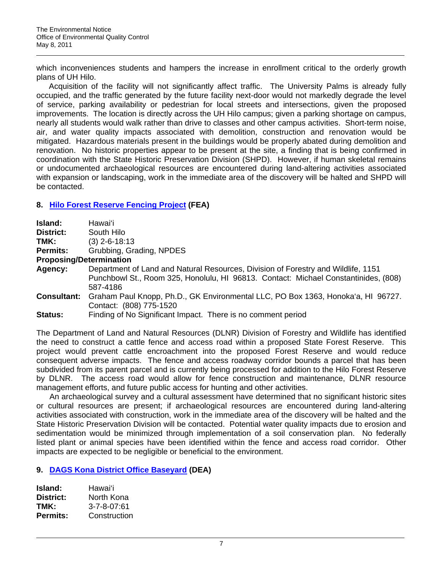which inconveniences students and hampers the increase in enrollment critical to the orderly growth plans of UH Hilo.

Acquisition of the facility will not significantly affect traffic. The University Palms is already fully occupied, and the traffic generated by the future facility next-door would not markedly degrade the level of service, parking availability or pedestrian for local streets and intersections, given the proposed improvements. The location is directly across the UH Hilo campus; given a parking shortage on campus, nearly all students would walk rather than drive to classes and other campus activities. Short-term noise, air, and water quality impacts associated with demolition, construction and renovation would be mitigated. Hazardous materials present in the buildings would be properly abated during demolition and renovation. No historic properties appear to be present at the site, a finding that is being confirmed in coordination with the State Historic Preservation Division (SHPD). However, if human skeletal remains or undocumented archaeological resources are encountered during land-altering activities associated with expansion or landscaping, work in the immediate area of the discovery will be halted and SHPD will be contacted.

## **8. Hilo Forest Reserve Fencing Project (FEA)**

| Island:            | Hawaiʻi                                                                                                                                                                              |
|--------------------|--------------------------------------------------------------------------------------------------------------------------------------------------------------------------------------|
| District:          | South Hilo                                                                                                                                                                           |
| TMK:               | $(3)$ 2-6-18:13                                                                                                                                                                      |
| <b>Permits:</b>    | Grubbing, Grading, NPDES                                                                                                                                                             |
|                    | <b>Proposing/Determination</b>                                                                                                                                                       |
| Agency:            | Department of Land and Natural Resources, Division of Forestry and Wildlife, 1151<br>Punchbowl St., Room 325, Honolulu, HI 96813. Contact: Michael Constantinides, (808)<br>587-4186 |
| <b>Consultant:</b> | Graham Paul Knopp, Ph.D., GK Environmental LLC, PO Box 1363, Honoka'a, HI 96727.<br>Contact: (808) 775-1520                                                                          |
| <b>Status:</b>     | Finding of No Significant Impact. There is no comment period                                                                                                                         |

The Department of Land and Natural Resources (DLNR) Division of Forestry and Wildlife has identified the need to construct a cattle fence and access road within a proposed State Forest Reserve. This project would prevent cattle encroachment into the proposed Forest Reserve and would reduce consequent adverse impacts. The fence and access roadway corridor bounds a parcel that has been subdivided from its parent parcel and is currently being processed for addition to the Hilo Forest Reserve by DLNR. The access road would allow for fence construction and maintenance, DLNR resource management efforts, and future public access for hunting and other activities.

An archaeological survey and a cultural assessment have determined that no significant historic sites or cultural resources are present; if archaeological resources are encountered during land-altering activities associated with construction, work in the immediate area of the discovery will be halted and the State Historic Preservation Division will be contacted. Potential water quality impacts due to erosion and sedimentation would be minimized through implementation of a soil conservation plan. No federally listed plant or animal species have been identified within the fence and access road corridor. Other impacts are expected to be negligible or beneficial to the environment.

## **9. DAGS Kona District Office Baseyard (DEA)**

| Island:   | Hawai'i             |
|-----------|---------------------|
| District: | North Kona          |
| TMK:      | $3 - 7 - 8 - 07.61$ |
| Permits:  | Construction        |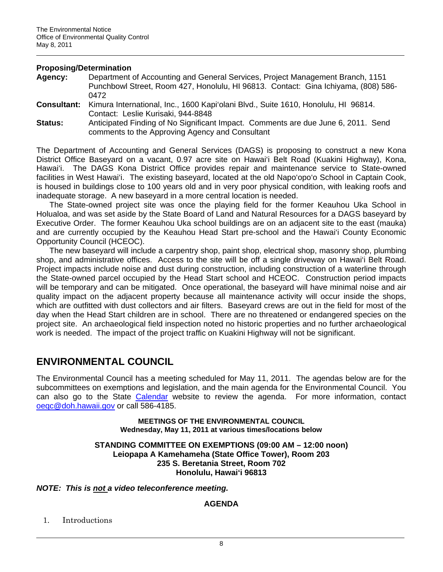### **Proposing/Determination**

- **Agency:** Department of Accounting and General Services, Project Management Branch, 1151 Punchbowl Street, Room 427, Honolulu, HI 96813. Contact: Gina Ichiyama, (808) 586- 0472
- **Consultant:** Kimura International, Inc., 1600 Kapi'olani Blvd., Suite 1610, Honolulu, HI 96814. Contact: Leslie Kurisaki, 944-8848
- **Status:** Anticipated Finding of No Significant Impact. Comments are due June 6, 2011. Send comments to the Approving Agency and Consultant

The Department of Accounting and General Services (DAGS) is proposing to construct a new Kona District Office Baseyard on a vacant, 0.97 acre site on Hawai'i Belt Road (Kuakini Highway), Kona, Hawai'i. The DAGS Kona District Office provides repair and maintenance service to State-owned facilities in West Hawai'i. The existing baseyard, located at the old Napo'opo'o School in Captain Cook, is housed in buildings close to 100 years old and in very poor physical condition, with leaking roofs and inadequate storage. A new baseyard in a more central location is needed.

The State-owned project site was once the playing field for the former Keauhou Uka School in Holualoa, and was set aside by the State Board of Land and Natural Resources for a DAGS baseyard by Executive Order. The former Keauhou Uka school buildings are on an adjacent site to the east (mauka) and are currently occupied by the Keauhou Head Start pre-school and the Hawai'i County Economic Opportunity Council (HCEOC).

The new baseyard will include a carpentry shop, paint shop, electrical shop, masonry shop, plumbing shop, and administrative offices. Access to the site will be off a single driveway on Hawai'i Belt Road. Project impacts include noise and dust during construction, including construction of a waterline through the State-owned parcel occupied by the Head Start school and HCEOC. Construction period impacts will be temporary and can be mitigated. Once operational, the baseyard will have minimal noise and air quality impact on the adjacent property because all maintenance activity will occur inside the shops, which are outfitted with dust collectors and air filters. Baseyard crews are out in the field for most of the day when the Head Start children are in school. There are no threatened or endangered species on the project site. An archaeological field inspection noted no historic properties and no further archaeological work is needed. The impact of the project traffic on Kuakini Highway will not be significant.

## **ENVIRONMENTAL COUNCIL**

The Environmental Council has a meeting scheduled for May 11, 2011. The agendas below are for the subcommittees on exemptions and legislation, and the main agenda for the Environmental Council. You can also go to the State Calendar website to review the agenda. For more information, contact oeqc@doh.hawaii.gov or call 586-4185.

> **MEETINGS OF THE ENVIRONMENTAL COUNCIL Wednesday, May 11, 2011 at various times/locations below**

### **STANDING COMMITTEE ON EXEMPTIONS (09:00 AM – 12:00 noon) Leiopapa A Kamehameha (State Office Tower), Room 203 235 S. Beretania Street, Room 702 Honolulu, Hawai'i 96813**

## *NOTE: This is not a video teleconference meeting.*

## **AGENDA**

1. Introductions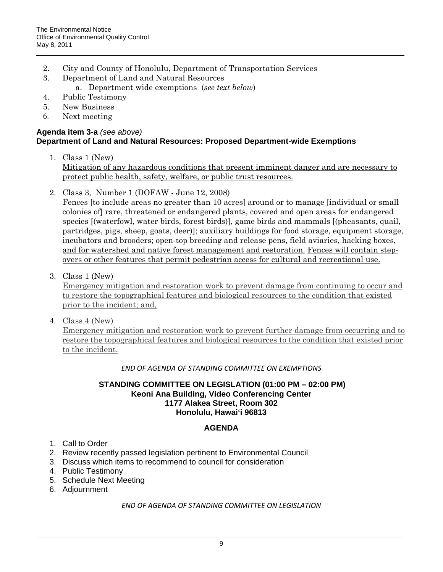- 2. City and County of Honolulu, Department of Transportation Services
- 3. Department of Land and Natural Resources
	- a. Department wide exemptions (*see text below*)
- 4. Public Testimony
- 5. New Business
- 6. Next meeting

## **Agenda item 3-a** *(see above)*  **Department of Land and Natural Resources: Proposed Department-wide Exemptions**

- 1. Class 1 (New) Mitigation of any hazardous conditions that present imminent danger and are necessary to protect public health, safety, welfare, or public trust resources.
- 2. Class 3, Number 1 (DOFAW June 12, 2008)

Fences [to include areas no greater than 10 acres] around or to manage [individual or small colonies of] rare, threatened or endangered plants, covered and open areas for endangered species [(waterfowl, water birds, forest birds)], game birds and mammals [(pheasants, quail, partridges, pigs, sheep, goats, deer)]; auxiliary buildings for food storage, equipment storage, incubators and brooders; open-top breeding and release pens, field aviaries, hacking boxes, and for watershed and native forest management and restoration. Fences will contain stepovers or other features that permit pedestrian access for cultural and recreational use.

3. Class 1 (New)

Emergency mitigation and restoration work to prevent damage from continuing to occur and to restore the topographical features and biological resources to the condition that existed prior to the incident; and,

4. Class 4 (New)

Emergency mitigation and restoration work to prevent further damage from occurring and to restore the topographical features and biological resources to the condition that existed prior to the incident.

*END OF AGENDA OF STANDING COMMITTEE ON EXEMPTIONS*

## **STANDING COMMITTEE ON LEGISLATION (01:00 PM – 02:00 PM) Keoni Ana Building, Video Conferencing Center 1177 Alakea Street, Room 302 Honolulu, Hawai'i 96813**

## **AGENDA**

- 1. Call to Order
- 2. Review recently passed legislation pertinent to Environmental Council
- 3. Discuss which items to recommend to council for consideration
- 4. Public Testimony
- 5. Schedule Next Meeting
- 6. Adjournment

## *END OF AGENDA OF STANDING COMMITTEE ON LEGISLATION*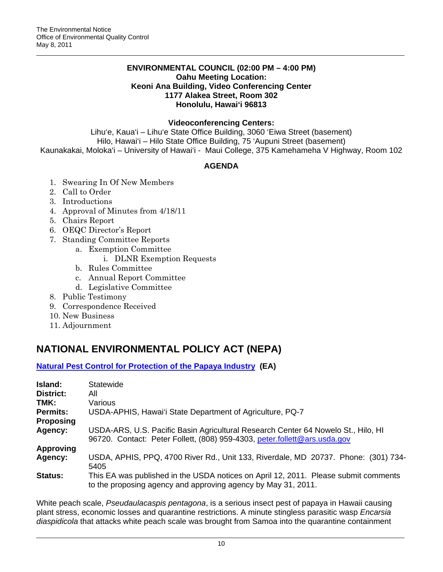### **ENVIRONMENTAL COUNCIL (02:00 PM – 4:00 PM) Oahu Meeting Location: Keoni Ana Building, Video Conferencing Center 1177 Alakea Street, Room 302 Honolulu, Hawai'i 96813**

### **Videoconferencing Centers:**

Lihu'e, Kaua'i – Lihu'e State Office Building, 3060 'Eiwa Street (basement) Hilo, Hawai'i – Hilo State Office Building, 75 'Aupuni Street (basement) Kaunakakai, Moloka'i – University of Hawai'i - Maui College, 375 Kamehameha V Highway, Room 102

## **AGENDA**

- 1. Swearing In Of New Members
- 2. Call to Order
- 3. Introductions
- 4. Approval of Minutes from 4/18/11
- 5. Chairs Report
- 6. OEQC Director's Report
- 7. Standing Committee Reports
	- a. Exemption Committee
		- i. DLNR Exemption Requests
	- b. Rules Committee
	- c. Annual Report Committee
	- d. Legislative Committee
- 8. Public Testimony
- 9. Correspondence Received
- 10. New Business
- 11. Adjournment

## **NATIONAL ENVIRONMENTAL POLICY ACT (NEPA)**

**Natural Pest Control for Protection of the Papaya Industry (EA)** 

| Island:          | Statewide                                                                                                                                                      |
|------------------|----------------------------------------------------------------------------------------------------------------------------------------------------------------|
| District:        | All                                                                                                                                                            |
| TMK:             | Various                                                                                                                                                        |
| <b>Permits:</b>  | USDA-APHIS, Hawai'i State Department of Agriculture, PQ-7                                                                                                      |
| <b>Proposing</b> |                                                                                                                                                                |
| Agency:          | USDA-ARS, U.S. Pacific Basin Agricultural Research Center 64 Nowelo St., Hilo, HI<br>96720. Contact: Peter Follett, (808) 959-4303, peter.follett@ars.usda.gov |
| <b>Approving</b> |                                                                                                                                                                |
| Agency:          | USDA, APHIS, PPQ, 4700 River Rd., Unit 133, Riverdale, MD 20737. Phone: (301) 734-<br>5405                                                                     |
| <b>Status:</b>   | This EA was published in the USDA notices on April 12, 2011. Please submit comments<br>to the proposing agency and approving agency by May 31, 2011.           |

White peach scale, *Pseudaulacaspis pentagona*, is a serious insect pest of papaya in Hawaii causing plant stress, economic losses and quarantine restrictions. A minute stingless parasitic wasp *Encarsia diaspidicola* that attacks white peach scale was brought from Samoa into the quarantine containment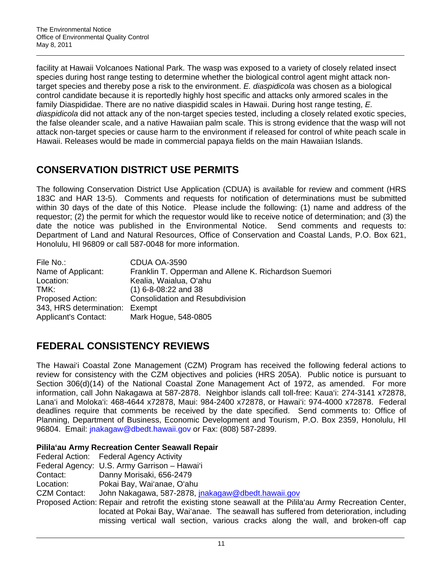facility at Hawaii Volcanoes National Park. The wasp was exposed to a variety of closely related insect species during host range testing to determine whether the biological control agent might attack nontarget species and thereby pose a risk to the environment. *E. diaspidicola* was chosen as a biological control candidate because it is reportedly highly host specific and attacks only armored scales in the family Diaspididae. There are no native diaspidid scales in Hawaii. During host range testing, *E. diaspidicola* did not attack any of the non-target species tested, including a closely related exotic species, the false oleander scale, and a native Hawaiian palm scale. This is strong evidence that the wasp will not attack non-target species or cause harm to the environment if released for control of white peach scale in Hawaii. Releases would be made in commercial papaya fields on the main Hawaiian Islands.

## **CONSERVATION DISTRICT USE PERMITS**

The following Conservation District Use Application (CDUA) is available for review and comment (HRS 183C and HAR 13-5). Comments and requests for notification of determinations must be submitted within 30 days of the date of this Notice. Please include the following: (1) name and address of the requestor; (2) the permit for which the requestor would like to receive notice of determination; and (3) the date the notice was published in the Environmental Notice. Send comments and requests to: Department of Land and Natural Resources, Office of Conservation and Coastal Lands, P.O. Box 621, Honolulu, HI 96809 or call 587-0048 for more information.

| File No.:                      | CDUA OA-3590                                          |
|--------------------------------|-------------------------------------------------------|
| Name of Applicant:             | Franklin T. Opperman and Allene K. Richardson Suemori |
| Location:                      | Kealia, Waialua, O'ahu                                |
| TMK:                           | $(1)$ 6-8-08:22 and 38                                |
| Proposed Action:               | <b>Consolidation and Resubdivision</b>                |
| 343, HRS determination: Exempt |                                                       |
| <b>Applicant's Contact:</b>    | Mark Hogue, 548-0805                                  |

## **FEDERAL CONSISTENCY REVIEWS**

The Hawai'i Coastal Zone Management (CZM) Program has received the following federal actions to review for consistency with the CZM objectives and policies (HRS 205A). Public notice is pursuant to Section 306(d)(14) of the National Coastal Zone Management Act of 1972, as amended. For more information, call John Nakagawa at 587-2878. Neighbor islands call toll-free: Kaua'i: 274-3141 x72878, Lana'i and Moloka'i: 468-4644 x72878, Maui: 984-2400 x72878, or Hawai'i: 974-4000 x72878. Federal deadlines require that comments be received by the date specified. Send comments to: Office of Planning, Department of Business, Economic Development and Tourism, P.O. Box 2359, Honolulu, HI 96804. Email: jnakagaw@dbedt.hawaii.gov or Fax: (808) 587-2899.

## **Pilila'au Army Recreation Center Seawall Repair**

|                     | Federal Action: Federal Agency Activity                                                                                                                                    |
|---------------------|----------------------------------------------------------------------------------------------------------------------------------------------------------------------------|
|                     | Federal Agency: U.S. Army Garrison - Hawai'i                                                                                                                               |
| Contact:            | Danny Morisaki, 656-2479                                                                                                                                                   |
| Location:           | Pokai Bay, Wai'anae, O'ahu                                                                                                                                                 |
| <b>CZM Contact:</b> | John Nakagawa, 587-2878, jnakagaw@dbedt.hawaii.gov                                                                                                                         |
|                     | Proposed Action: Repair and retrofit the existing stone seawall at the Pilila'au Army Recreation Center,                                                                   |
|                     | located at Pokai Bay, Wai'anae. The seawall has suffered from deterioration, including<br>missing vertical wall section, various cracks along the wall, and broken-off cap |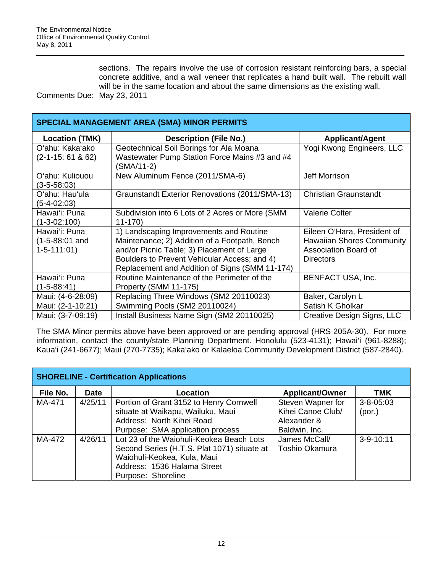sections. The repairs involve the use of corrosion resistant reinforcing bars, a special concrete additive, and a wall veneer that replicates a hand built wall. The rebuilt wall will be in the same location and about the same dimensions as the existing wall.

Comments Due: May 23, 2011

| <b>SPECIAL MANAGEMENT AREA (SMA) MINOR PERMITS</b> |                                                                                          |                                  |  |  |
|----------------------------------------------------|------------------------------------------------------------------------------------------|----------------------------------|--|--|
| <b>Location (TMK)</b>                              | <b>Description (File No.)</b>                                                            | <b>Applicant/Agent</b>           |  |  |
| Oʻahu: Kakaʻako<br>$(2 - 1 - 15: 61 & 62)$         | Geotechnical Soil Borings for Ala Moana<br>Wastewater Pump Station Force Mains #3 and #4 | Yogi Kwong Engineers, LLC        |  |  |
|                                                    | (SMA/11-2)                                                                               |                                  |  |  |
| O'ahu: Kuliouou<br>$(3-5-58:03)$                   | New Aluminum Fence (2011/SMA-6)                                                          | Jeff Morrison                    |  |  |
| O'ahu: Hau'ula                                     | Graunstandt Exterior Renovations (2011/SMA-13)                                           | <b>Christian Graunstandt</b>     |  |  |
| $(5-4-02:03)$                                      |                                                                                          |                                  |  |  |
| Hawai'i: Puna                                      | Subdivision into 6 Lots of 2 Acres or More (SMM                                          | <b>Valerie Colter</b>            |  |  |
| $(1-3-02:100)$                                     | $11-170$                                                                                 |                                  |  |  |
| Hawai'i: Puna                                      | 1) Landscaping Improvements and Routine                                                  | Eileen O'Hara, President of      |  |  |
| $(1-5-88:01$ and                                   | Maintenance; 2) Addition of a Footpath, Bench                                            | <b>Hawaiian Shores Community</b> |  |  |
| $1-5-111:01)$                                      | and/or Picnic Table; 3) Placement of Large                                               | <b>Association Board of</b>      |  |  |
|                                                    | Boulders to Prevent Vehicular Access; and 4)                                             | <b>Directors</b>                 |  |  |
|                                                    | Replacement and Addition of Signs (SMM 11-174)                                           |                                  |  |  |
| Hawai'i: Puna                                      | Routine Maintenance of the Perimeter of the                                              | <b>BENFACT USA, Inc.</b>         |  |  |
| $(1-5-88:41)$                                      | Property (SMM 11-175)                                                                    |                                  |  |  |
| Maui: (4-6-28:09)                                  | Replacing Three Windows (SM2 20110023)                                                   | Baker, Carolyn L                 |  |  |
| Maui: (2-1-10:21)                                  | Swimming Pools (SM2 20110024)                                                            | Satish K Gholkar                 |  |  |
| Maui: (3-7-09:19)                                  | Install Business Name Sign (SM2 20110025)                                                | Creative Design Signs, LLC       |  |  |

The SMA Minor permits above have been approved or are pending approval (HRS 205A-30). For more information, contact the county/state Planning Department. Honolulu (523-4131); Hawai'i (961-8288); Kaua'i (241-6677); Maui (270-7735); Kaka'ako or Kalaeloa Community Development District (587-2840).

| <b>SHORELINE - Certification Applications</b> |             |                                                                                                                                                                             |                                                                        |                           |  |
|-----------------------------------------------|-------------|-----------------------------------------------------------------------------------------------------------------------------------------------------------------------------|------------------------------------------------------------------------|---------------------------|--|
| File No.                                      | <b>Date</b> | Location                                                                                                                                                                    | <b>Applicant/Owner</b>                                                 | <b>TMK</b>                |  |
| MA-471                                        | 4/25/11     | Portion of Grant 3152 to Henry Cornwell<br>situate at Waikapu, Wailuku, Maui<br>Address: North Kihei Road<br>Purpose: SMA application process                               | Steven Wapner for<br>Kihei Canoe Club/<br>Alexander &<br>Baldwin, Inc. | $3 - 8 - 05:03$<br>(por.) |  |
| MA-472                                        | 4/26/11     | Lot 23 of the Waiohuli-Keokea Beach Lots<br>Second Series (H.T.S. Plat 1071) situate at<br>Waiohuli-Keokea, Kula, Maui<br>Address: 1536 Halama Street<br>Purpose: Shoreline | James McCall/<br><b>Toshio Okamura</b>                                 | $3-9-10:11$               |  |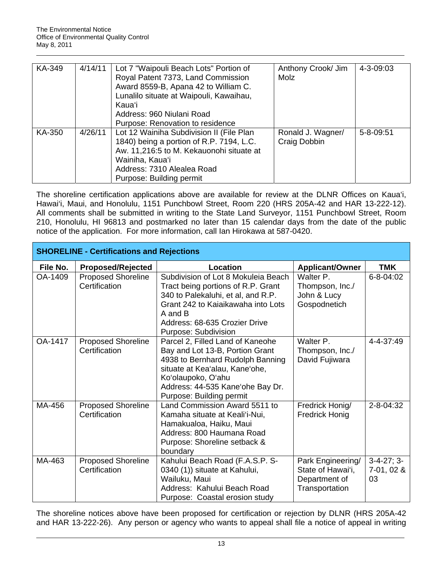| KA-349 | 4/14/11 | Lot 7 "Waipouli Beach Lots" Portion of<br>Royal Patent 7373, Land Commission<br>Award 8559-B, Apana 42 to William C.<br>Lunalilo situate at Waipouli, Kawaihau,<br>Kaua'i<br>Address: 960 Niulani Road                                            | Anthony Crook/ Jim<br>Molz        | 4-3-09:03 |
|--------|---------|---------------------------------------------------------------------------------------------------------------------------------------------------------------------------------------------------------------------------------------------------|-----------------------------------|-----------|
| KA-350 | 4/26/11 | Purpose: Renovation to residence<br>Lot 12 Wainiha Subdivision II (File Plan<br>1840) being a portion of R.P. 7194, L.C.<br>Aw. 11,216:5 to M. Kekauonohi situate at<br>Wainiha, Kaua'i<br>Address: 7310 Alealea Road<br>Purpose: Building permit | Ronald J. Wagner/<br>Craig Dobbin | 5-8-09:51 |

The shoreline certification applications above are available for review at the DLNR Offices on Kaua'i, Hawai'i, Maui, and Honolulu, 1151 Punchbowl Street, Room 220 (HRS 205A-42 and HAR 13-222-12). All comments shall be submitted in writing to the State Land Surveyor, 1151 Punchbowl Street, Room 210, Honolulu, HI 96813 and postmarked no later than 15 calendar days from the date of the public notice of the application. For more information, call Ian Hirokawa at 587-0420.

| <b>SHORELINE - Certifications and Rejections</b> |                                            |                                                                                                                                                                                                                                 |                                                                           |                                  |  |
|--------------------------------------------------|--------------------------------------------|---------------------------------------------------------------------------------------------------------------------------------------------------------------------------------------------------------------------------------|---------------------------------------------------------------------------|----------------------------------|--|
| File No.                                         | <b>Proposed/Rejected</b>                   | Location                                                                                                                                                                                                                        | <b>Applicant/Owner</b>                                                    | TMK                              |  |
| OA-1409                                          | Proposed Shoreline<br>Certification        | Subdivision of Lot 8 Mokuleia Beach<br>Tract being portions of R.P. Grant<br>340 to Palekaluhi, et al, and R.P.<br>Grant 242 to Kaiaikawaha into Lots<br>A and B<br>Address: 68-635 Crozier Drive<br>Purpose: Subdivision       | Walter P.<br>Thompson, Inc./<br>John & Lucy<br>Gospodnetich               | 6-8-04:02                        |  |
| OA-1417                                          | <b>Proposed Shoreline</b><br>Certification | Parcel 2, Filled Land of Kaneohe<br>Bay and Lot 13-B, Portion Grant<br>4938 to Bernhard Rudolph Banning<br>situate at Kea'alau, Kane'ohe,<br>Ko'olaupoko, O'ahu<br>Address: 44-535 Kane'ohe Bay Dr.<br>Purpose: Building permit | Walter P.<br>Thompson, Inc./<br>David Fujiwara                            | 4-4-37:49                        |  |
| MA-456                                           | <b>Proposed Shoreline</b><br>Certification | Land Commission Award 5511 to<br>Kamaha situate at Keali'i-Nui,<br>Hamakualoa, Haiku, Maui<br>Address: 800 Haumana Road<br>Purpose: Shoreline setback &<br>boundary                                                             | Fredrick Honig/<br><b>Fredrick Honig</b>                                  | 2-8-04:32                        |  |
| MA-463                                           | <b>Proposed Shoreline</b><br>Certification | Kahului Beach Road (F.A.S.P. S-<br>0340 (1)) situate at Kahului,<br>Wailuku, Maui<br>Address: Kahului Beach Road<br>Purpose: Coastal erosion study                                                                              | Park Engineering/<br>State of Hawai'i,<br>Department of<br>Transportation | $3-4-27; 3-$<br>7-01, 02 &<br>03 |  |

The shoreline notices above have been proposed for certification or rejection by DLNR (HRS 205A-42 and HAR 13-222-26). Any person or agency who wants to appeal shall file a notice of appeal in writing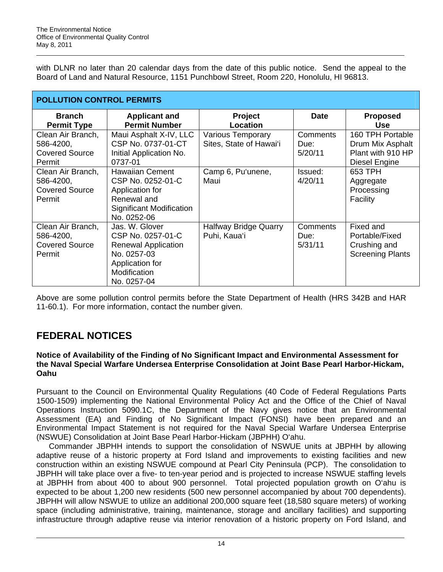with DLNR no later than 20 calendar days from the date of this public notice. Send the appeal to the Board of Land and Natural Resource, 1151 Punchbowl Street, Room 220, Honolulu, HI 96813.

| <b>POLLUTION CONTROL PERMITS</b>                                  |                                                                                                                                    |                                                     |                                    |                                                                            |  |
|-------------------------------------------------------------------|------------------------------------------------------------------------------------------------------------------------------------|-----------------------------------------------------|------------------------------------|----------------------------------------------------------------------------|--|
| <b>Branch</b><br><b>Permit Type</b>                               | <b>Applicant and</b><br><b>Permit Number</b>                                                                                       | <b>Project</b><br>Location                          | <b>Date</b>                        | <b>Proposed</b><br><b>Use</b>                                              |  |
| Clean Air Branch,<br>586-4200,<br><b>Covered Source</b><br>Permit | Maui Asphalt X-IV, LLC<br>CSP No. 0737-01-CT<br>Initial Application No.<br>0737-01                                                 | <b>Various Temporary</b><br>Sites, State of Hawai'i | <b>Comments</b><br>Due:<br>5/20/11 | 160 TPH Portable<br>Drum Mix Asphalt<br>Plant with 910 HP<br>Diesel Engine |  |
| Clean Air Branch,<br>586-4200,<br><b>Covered Source</b><br>Permit | <b>Hawaiian Cement</b><br>CSP No. 0252-01-C<br>Application for<br>Renewal and<br>Significant Modification<br>No. 0252-06           | Camp 6, Pu'unene,<br>Maui                           | Issued:<br>4/20/11                 | 653 TPH<br>Aggregate<br>Processing<br>Facility                             |  |
| Clean Air Branch,<br>586-4200,<br><b>Covered Source</b><br>Permit | Jas. W. Glover<br>CSP No. 0257-01-C<br><b>Renewal Application</b><br>No. 0257-03<br>Application for<br>Modification<br>No. 0257-04 | <b>Halfway Bridge Quarry</b><br>Puhi, Kaua'i        | Comments<br>Due:<br>5/31/11        | Fixed and<br>Portable/Fixed<br>Crushing and<br><b>Screening Plants</b>     |  |

Above are some pollution control permits before the State Department of Health (HRS 342B and HAR 11-60.1). For more information, contact the number given.

## **FEDERAL NOTICES**

### **Notice of Availability of the Finding of No Significant Impact and Environmental Assessment for the Naval Special Warfare Undersea Enterprise Consolidation at Joint Base Pearl Harbor-Hickam, Oahu**

Pursuant to the Council on Environmental Quality Regulations (40 Code of Federal Regulations Parts 1500-1509) implementing the National Environmental Policy Act and the Office of the Chief of Naval Operations Instruction 5090.1C, the Department of the Navy gives notice that an Environmental Assessment (EA) and Finding of No Significant Impact (FONSI) have been prepared and an Environmental Impact Statement is not required for the Naval Special Warfare Undersea Enterprise (NSWUE) Consolidation at Joint Base Pearl Harbor-Hickam (JBPHH) O'ahu.

Commander JBPHH intends to support the consolidation of NSWUE units at JBPHH by allowing adaptive reuse of a historic property at Ford Island and improvements to existing facilities and new construction within an existing NSWUE compound at Pearl City Peninsula (PCP). The consolidation to JBPHH will take place over a five- to ten-year period and is projected to increase NSWUE staffing levels at JBPHH from about 400 to about 900 personnel. Total projected population growth on O'ahu is expected to be about 1,200 new residents (500 new personnel accompanied by about 700 dependents). JBPHH will allow NSWUE to utilize an additional 200,000 square feet (18,580 square meters) of working space (including administrative, training, maintenance, storage and ancillary facilities) and supporting infrastructure through adaptive reuse via interior renovation of a historic property on Ford Island, and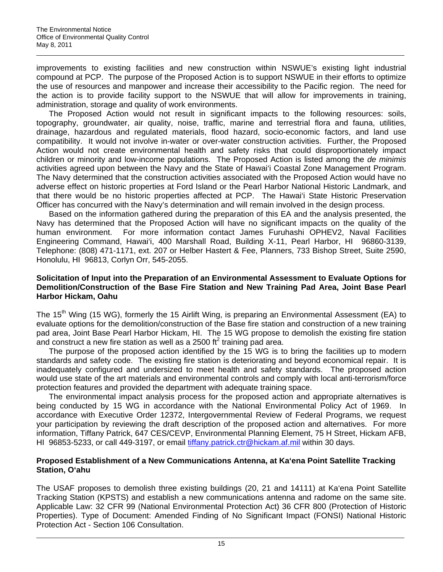improvements to existing facilities and new construction within NSWUE's existing light industrial compound at PCP. The purpose of the Proposed Action is to support NSWUE in their efforts to optimize the use of resources and manpower and increase their accessibility to the Pacific region. The need for the action is to provide facility support to the NSWUE that will allow for improvements in training, administration, storage and quality of work environments.

The Proposed Action would not result in significant impacts to the following resources: soils, topography, groundwater, air quality, noise, traffic, marine and terrestrial flora and fauna, utilities, drainage, hazardous and regulated materials, flood hazard, socio-economic factors, and land use compatibility. It would not involve in-water or over-water construction activities. Further, the Proposed Action would not create environmental health and safety risks that could disproportionately impact children or minority and low-income populations. The Proposed Action is listed among the *de minimis*  activities agreed upon between the Navy and the State of Hawai'i Coastal Zone Management Program. The Navy determined that the construction activities associated with the Proposed Action would have no adverse effect on historic properties at Ford Island or the Pearl Harbor National Historic Landmark, and that there would be no historic properties affected at PCP. The Hawai'i State Historic Preservation Officer has concurred with the Navy's determination and will remain involved in the design process.

Based on the information gathered during the preparation of this EA and the analysis presented, the Navy has determined that the Proposed Action will have no significant impacts on the quality of the human environment. For more information contact James Furuhashi OPHEV2, Naval Facilities Engineering Command, Hawai'i, 400 Marshall Road, Building X-11, Pearl Harbor, HI 96860-3139, Telephone: (808) 471-1171, ext. 207 or Helber Hastert & Fee, Planners, 733 Bishop Street, Suite 2590, Honolulu, HI 96813, Corlyn Orr, 545-2055.

### **Solicitation of Input into the Preparation of an Environmental Assessment to Evaluate Options for Demolition/Construction of the Base Fire Station and New Training Pad Area, Joint Base Pearl Harbor Hickam, Oahu**

The 15<sup>th</sup> Wing (15 WG), formerly the 15 Airlift Wing, is preparing an Environmental Assessment (EA) to evaluate options for the demolition/construction of the Base fire station and construction of a new training pad area, Joint Base Pearl Harbor Hickam, HI. The 15 WG propose to demolish the existing fire station and construct a new fire station as well as a 2500 ft<sup>2</sup> training pad area.

The purpose of the proposed action identified by the 15 WG is to bring the facilities up to modern standards and safety code. The existing fire station is deteriorating and beyond economical repair. It is inadequately configured and undersized to meet health and safety standards. The proposed action would use state of the art materials and environmental controls and comply with local anti-terrorism/force protection features and provided the department with adequate training space.

The environmental impact analysis process for the proposed action and appropriate alternatives is being conducted by 15 WG in accordance with the National Environmental Policy Act of 1969. In accordance with Executive Order 12372, Intergovernmental Review of Federal Programs, we request your participation by reviewing the draft description of the proposed action and alternatives. For more information, Tiffany Patrick, 647 CES/CEVP, Environmental Planning Element, 75 H Street, Hickam AFB, HI 96853-5233, or call 449-3197, or email tiffany.patrick.ctr@hickam.af.mil within 30 days.

## **Proposed Establishment of a New Communications Antenna, at Ka'ena Point Satellite Tracking Station, O'ahu**

The USAF proposes to demolish three existing buildings (20, 21 and 14111) at Ka'ena Point Satellite Tracking Station (KPSTS) and establish a new communications antenna and radome on the same site. Applicable Law: 32 CFR 99 (National Environmental Protection Act) 36 CFR 800 (Protection of Historic Properties). Type of Document: Amended Finding of No Significant Impact (FONSI) National Historic Protection Act - Section 106 Consultation.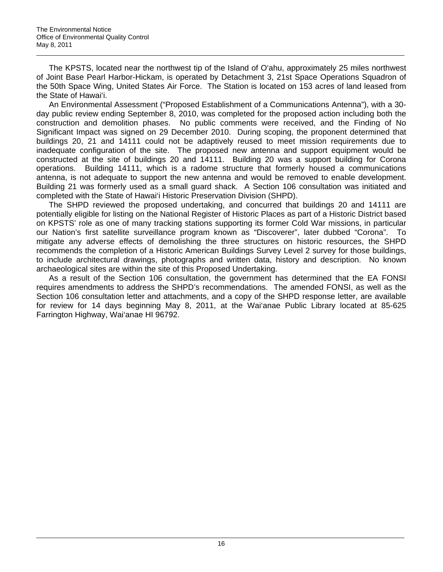The KPSTS, located near the northwest tip of the Island of O'ahu, approximately 25 miles northwest of Joint Base Pearl Harbor-Hickam, is operated by Detachment 3, 21st Space Operations Squadron of the 50th Space Wing, United States Air Force. The Station is located on 153 acres of land leased from the State of Hawai'i.

An Environmental Assessment ("Proposed Establishment of a Communications Antenna"), with a 30 day public review ending September 8, 2010, was completed for the proposed action including both the construction and demolition phases. No public comments were received, and the Finding of No Significant Impact was signed on 29 December 2010. During scoping, the proponent determined that buildings 20, 21 and 14111 could not be adaptively reused to meet mission requirements due to inadequate configuration of the site. The proposed new antenna and support equipment would be constructed at the site of buildings 20 and 14111. Building 20 was a support building for Corona operations. Building 14111, which is a radome structure that formerly housed a communications antenna, is not adequate to support the new antenna and would be removed to enable development. Building 21 was formerly used as a small guard shack. A Section 106 consultation was initiated and completed with the State of Hawai'i Historic Preservation Division (SHPD).

The SHPD reviewed the proposed undertaking, and concurred that buildings 20 and 14111 are potentially eligible for listing on the National Register of Historic Places as part of a Historic District based on KPSTS' role as one of many tracking stations supporting its former Cold War missions, in particular our Nation's first satellite surveillance program known as "Discoverer", later dubbed "Corona". To mitigate any adverse effects of demolishing the three structures on historic resources, the SHPD recommends the completion of a Historic American Buildings Survey Level 2 survey for those buildings, to include architectural drawings, photographs and written data, history and description. No known archaeological sites are within the site of this Proposed Undertaking.

As a result of the Section 106 consultation, the government has determined that the EA FONSI requires amendments to address the SHPD's recommendations. The amended FONSI, as well as the Section 106 consultation letter and attachments, and a copy of the SHPD response letter, are available for review for 14 days beginning May 8, 2011, at the Wai'anae Public Library located at 85-625 Farrington Highway, Wai'anae HI 96792.